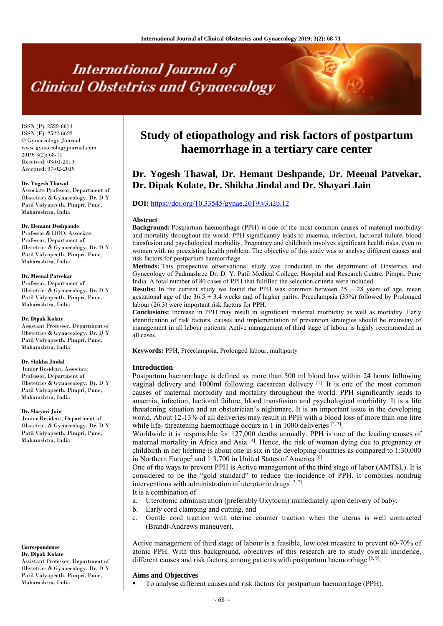# **International Journal of Clinical Obstetrics and Gynaecology**

ISSN (P): 2522-6614 ISSN (E): 2522-6622 © Gynaecology Journal www.gynaecologyjournal.com  $2019$ ;  $3(2)$ : 68-71 Received: 03-01-2019 Accepted: 07-02-2019

#### **Dr. Yogesh Thawal**

Associate Professor, Department of Obstetrics & Gynaecology, Dr. D Y Patil Vidyapeeth, Pimpri, Pune, Maharashtra, India

#### **Dr. Hemant Deshpande**

Professor & HOD, Associate Professor, Department of Obstetrics & Gynaecology, Dr. D Y Patil Vidyapeeth, Pimpri, Pune, Maharashtra, India

#### **Dr. Meenal Patvekar**

Professor, Department of Obstetrics & Gynaecology, Dr. D Y Patil Vidyapeeth, Pimpri, Pune, Maharashtra, India

#### **Dr. Dipak Kolate**

Assistant Professor, Department of Obstetrics & Gynaecology, Dr. D Y Patil Vidyapeeth, Pimpri, Pune, Maharashtra, India

### **Dr. Shikha Jindal**

Junior Resident, Associate Professor, Department of Obstetrics & Gynaecology, Dr. D Y Patil Vidyapeeth, Pimpri, Pune, Maharashtra, India

#### **Dr. Shayari Jain**

Junior Resident, Department of Obstetrics & Gynaecology, Dr. D Y Patil Vidyapeeth, Pimpri, Pune, Maharashtra, India

### **Correspondence**

**Dr. Dipak Kolate** Assistant Professor, Department of Obstetrics & Gynaecology, Dr. D Y Patil Vidyapeeth, Pimpri, Pune, Maharashtra, India

## **Study of etiopathology and risk factors of postpartum haemorrhage in a tertiary care center**

## **Dr. Yogesh Thawal, Dr. Hemant Deshpande, Dr. Meenal Patvekar, Dr. Dipak Kolate, Dr. Shikha Jindal and Dr. Shayari Jain**

## **DOI:** https://doi.org/10.33545/gynae.2019.v3.i2b.12

#### **Abstract**

**Background:** Postpartum haemorrhage (PPH) is one of the most common causes of maternal morbidity and mortality throughout the world. PPH significantly leads to anaemia, infection, lactional failure, blood transfusion and psychological morbidity. Pregnancy and childbirth involves significant health risks, even to women with no preexisting health problem. The objective of this study was to analyse different causes and risk factors for postpartum haemorrhage.

**Methods:** This prospective observational study was conducted in the department of Obstetrics and Gynecology of Padmashree Dr. D. Y. Patil Medical College, Hospital and Research Centre, Pimpri, Pune India. A total number of 80 cases of PPH that fulfilled the selection criteria were included.

**Results:** In the current study we found the PPH was common between  $25 - 28$  years of age, mean gestational age of the  $36.5 \pm 3.4$  weeks and of higher parity. Preeclampsia (35%) followed by Prolonged labour (26.3) were important risk factors for PPH.

**Conclusions:** Increase in PPH may result in significant maternal morbidity as well as mortality. Early identification of risk factors, causes and implementation of prevention strategies should be mainstay of management in all labour patients. Active management of third stage of labour is highly recommended in all cases.

**Keywords:** PPH, Preeclampsia, Prolonged labour, multiparty

#### **Introduction**

Postpartum haemorrhage is defined as more than 500 ml blood loss within 24 hours following vaginal delivery and 1000ml following caesarean delivery [1]. It is one of the most common causes of maternal morbidity and mortality throughout the world. PPH significantly leads to anaemia, infection, lactional failure, blood transfusion and psychological morbidity. It is a life threatening situation and an obstetrician's nightmare. It is an important issue in the developing world. About 12-13% of all deliveries may result in PPH with a blood loss of more than one litre while life- threatening haemorrhage occurs in 1 in 1000 deliveries  $[2, 3]$ .

Worldwide it is responsible for 127,000 deaths annually. PPH is one of the leading causes of maternal mortality in Africa and Asia [4]. Hence, the risk of woman dying due to pregnancy or childbirth in her lifetime is about one in six in the developing countries as compared to 1:30,000 in Northern Europe<sup>5</sup> and 1:3,700 in United States of America<sup>[6]</sup>.

One of the ways to prevent PPH is Active management of the third stage of labor (AMTSL). It is considered to be the "gold standard" to reduce the incidence of PPH. It combines nondrug interventions with administration of uterotonic drugs  $[3, 7]$ .

It is a combination of

- a. Uterotonic administration (preferably Oxytocin) immediately upon delivery of baby,
- b. Early cord clamping and cutting, and
- c. Gentle cord traction with uterine counter traction when the uterus is well contracted (Brandt-Andrews maneuver).

Active management of third stage of labour is a feasible, low cost measure to prevent 60-70% of atonic PPH. With this background, objectives of this research are to study overall incidence, different causes and risk factors, among patients with postpartum haemorrhage  $[8, 9]$ .

## **Aims and Objectives**

To analyse different causes and risk factors for postpartum haemorrhage (PPH).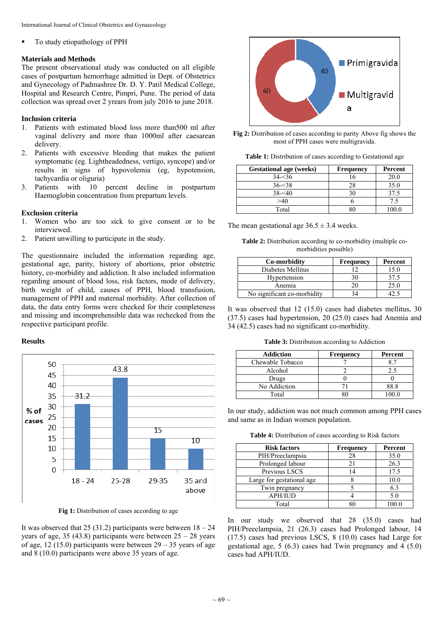To study etiopathology of PPH

## **Materials and Methods**

The present observational study was conducted on all eligible cases of postpartum hemorrhage admitted in Dept. of Obstetrics and Gynecology of Padmashree Dr. D. Y. Patil Medical College, Hospital and Research Centre, Pimpri, Pune. The period of data collection was spread over 2 yrears from july 2016 to june 2018.

## **Inclusion criteria**

- 1. Patients with estimated blood loss more than500 ml after vaginal delivery and more than 1000ml after caesarean delivery.
- 2. Patients with excessive bleeding that makes the patient symptomatic (eg. Lightheadedness, vertigo, syncope) and/or results in signs of hypovolemia (eg, hypotension, tachycardia or oliguria)
- 3. Patients with 10 percent decline in postpartum Haemoglobin concentration from prepartum levels.

## **Exclusion criteria**

- 1. Women who are too sick to give consent or to be interviewed.
- 2. Patient unwilling to participate in the study.

The questionnaire included the information regarding age, gestational age, parity, history of abortions, prior obstetric history, co-morbidity and addiction. It also included information regarding amount of blood loss, risk factors, mode of delivery, birth weight of child, causes of PPH, blood transfusion, management of PPH and maternal morbidity. After collection of data, the data entry forms were checked for their completeness and missing and incomprehensible data was rechecked from the respective participant profile.

## **Results**



Fig 1: Distribution of cases according to age

It was observed that 25 (31.2) participants were between  $18 - 24$ years of age, 35 (43.8) participants were between  $25 - 28$  years of age, 12 (15.0) participants were between  $29 - 35$  years of age and 8 (10.0) participants were above 35 years of age.



**Fig 2:** Distribution of cases according to parity Above fig shows the most of PPH cases were multigravida.

Table 1: Distribution of cases according to Gestational age

| <b>Gestational age (weeks)</b> | <b>Frequency</b> | Percent |
|--------------------------------|------------------|---------|
| $34 - 36$                      | 6                | 20.0    |
| $36 - 38$                      |                  | 35.0    |
| $38 - 40$                      |                  | 37.5    |
| >40                            |                  |         |
| Total                          |                  |         |

The mean gestational age  $36.5 \pm 3.4$  weeks.

**Table 2:** Distribution according to co-morbidity (multiple comorbidities possible)

| Co-morbidity                | <b>Frequency</b> | Percent |
|-----------------------------|------------------|---------|
| Diabetes Mellitus           |                  | 15.0    |
| Hypertension                |                  | 37.5    |
| Anemia                      | 20               | 25.0    |
| No significant co-morbidity |                  |         |

It was observed that 12 (15.0) cases had diabetes mellitus, 30 (37.5) cases had hypertension, 20 (25.0) cases had Anemia and 34 (42.5) cases had no significant co-morbidity.

**Table 3:** Distribution according to Addiction

| <b>Addiction</b> | <b>Frequency</b> | Percent        |
|------------------|------------------|----------------|
| Chewable Tobacco |                  | 8 <sup>7</sup> |
| Alcohol          |                  | 2.5            |
| Drugs            |                  |                |
| No Addiction     |                  | 88.8           |
| Total            |                  | 1000           |

In our study, addiction was not much common among PPH cases and same as in Indian women population.

**Table 4:** Distribution of cases according to Risk factors

| <b>Risk factors</b>       | <b>Frequency</b> | Percent |
|---------------------------|------------------|---------|
| PIH/Preeclampsia          | 28               | 35.0    |
| Prolonged labour          |                  | 26.3    |
| Previous LSCS             |                  | 17.5    |
| Large for gestational age |                  | 10.0    |
| Twin pregnancy            |                  | 6.3     |
| <b>APH/IUD</b>            |                  | 5.0     |
| Total                     |                  |         |

In our study we observed that 28 (35.0) cases had PIH/Preeclampsia, 21 (26.3) cases had Prolonged labour, 14 (17.5) cases had previous LSCS, 8 (10.0) cases had Large for gestational age, 5 (6.3) cases had Twin pregnancy and 4 (5.0) cases had APH/IUD.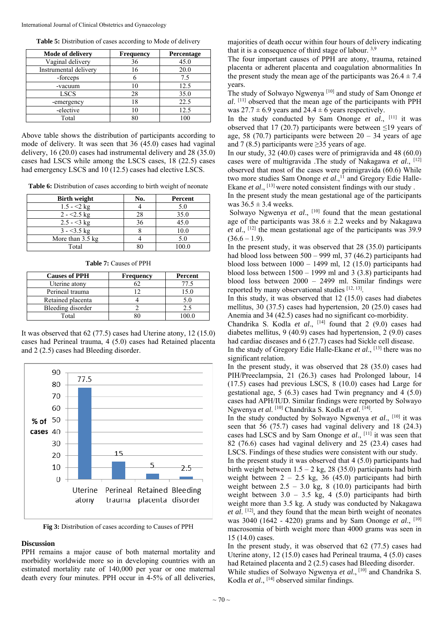| Table 5: Distribution of cases according to Mode of delivery |  |  |
|--------------------------------------------------------------|--|--|
|                                                              |  |  |

| <b>Mode of delivery</b> | <b>Frequency</b> | Percentage |
|-------------------------|------------------|------------|
| Vaginal delivery        | 36               | 45.0       |
| Instrumental delivery   |                  | 20.0       |
| -forceps                |                  | 7.5        |
| -vacuum                 | 10               | 12.5       |
| <b>LSCS</b>             | 28               | 35.0       |
| -emergency              | 18               | 22.5       |
| -elective               | 10               | 12.5       |
| Total                   | 80               |            |

Above table shows the distribution of participants according to mode of delivery. It was seen that 36 (45.0) cases had vaginal delivery, 16 (20.0) cases had instrumental delivery and 28 (35.0) cases had LSCS while among the LSCS cases, 18 (22.5) cases had emergency LSCS and 10 (12.5) cases had elective LSCS.

**Table 6:** Distribution of cases according to birth weight of neonate

| <b>Birth weight</b>        | No. | Percent |
|----------------------------|-----|---------|
| $1.5 - 2 kg$               |     | 5.0     |
| $2 - 2.5$ kg               | 28  | 35.0    |
| $2.5 - 3 kg$               | 36  | 45.0    |
| $3 - 3.5$ kg               |     | 10.0    |
| More than $3.5 \text{ kg}$ |     | 5.0     |
| Total                      |     | 00 Q    |

**Table 7:** Causes of PPH

| <b>Causes of PPH</b> | <b>Frequency</b> | Percent  |
|----------------------|------------------|----------|
| Uterine atony        |                  | 77.5     |
| Perineal trauma      |                  | 15.0     |
| Retained placenta    |                  | 50       |
| Bleeding disorder    |                  | 2.5      |
| Total                |                  | $\alpha$ |

It was observed that 62 (77.5) cases had Uterine atony, 12 (15.0) cases had Perineal trauma, 4 (5.0) cases had Retained placenta and 2 (2.5) cases had Bleeding disorder.



**Fig 3:** Distribution of cases according to Causes of PPH

## **Discussion**

PPH remains a major cause of both maternal mortality and morbidity worldwide more so in developing countries with an estimated mortality rate of 140,000 per year or one maternal death every four minutes. PPH occur in 4-5% of all deliveries,

majorities of death occur within four hours of delivery indicating that it is a consequence of third stage of labour.  $3,9$ 

The four important causes of PPH are atony, trauma, retained placenta or adherent placenta and coagulation abnormalities In the present study the mean age of the participants was  $26.4 \pm 7.4$ years.

The study of Solwayo Ngwenya [10] and study of Sam Ononge *et al*. [11] observed that the mean age of the participants with PPH was  $27.7 \pm 6.9$  years and  $24.4 \pm 6$  years respectively.

In the study conducted by Sam Ononge et al., [11] it was observed that 17 (20.7) participants were between  $\leq$ 19 years of age, 58 (70.7) participants were between  $20 - 34$  years of age and 7 (8.5) participants were  $\geq$ 35 years of age.

In our study, 32 (40.0) cases were of primigravida and 48 (60.0) cases were of multigravida .The study of Nakagawa *et al*., [12] observed that most of the cases were primigravida (60.6) While two more studies Sam Ononge *et al.*,<sup>11</sup> and Gregory Edie Halle-Ekane *et al.*, <sup>[13]</sup> were noted consistent findings with our study.

In the present study the mean gestational age of the participants was  $36.5 \pm 3.4$  weeks.

Solwayo Ngwenya *et al.*, <sup>[10]</sup> found that the mean gestational age of the participants was  $38.6 \pm 2.2$  weeks and by Nakagawa *et al*., [12] the mean gestational age of the participants was 39.9  $(36.6 - 1.9)$ .

In the present study, it was observed that 28 (35.0) participants had blood loss between 500 – 999 ml, 37 (46.2) participants had blood loss between 1000 – 1499 ml, 12 (15.0) participants had blood loss between  $1500 - 1999$  ml and 3 (3.8) participants had blood loss between 2000 – 2499 ml. Similar findings were reported by many observational studies [12, 13].

In this study, it was observed that 12 (15.0) cases had diabetes mellitus, 30 (37.5) cases had hypertension, 20 (25.0) cases had Anemia and 34 (42.5) cases had no significant co-morbidity.

Chandrika S. Kodla et al., <sup>[14]</sup> found that 2 (9.0) cases had diabetes mellitus, 9 (40.9) cases had hypertension, 2 (9.0) cases had cardiac diseases and 6 (27.7) cases had Sickle cell disease.

In the study of Gregory Edie Halle-Ekane *et al*., [13] there was no significant relation.

In the present study, it was observed that 28 (35.0) cases had PIH/Preeclampsia, 21 (26.3) cases had Prolonged labour, 14 (17.5) cases had previous LSCS, 8 (10.0) cases had Large for gestational age, 5 (6.3) cases had Twin pregnancy and 4 (5.0) cases had APH/IUD. Similar findings were reported by Solwayo Ngwenya *et al*. [10] Chandrika S. Kodla *et al*. [14].

In the study conducted by Solwayo Ngwenya *et al*., [10] it was seen that 56 (75.7) cases had vaginal delivery and 18 (24.3) cases had LSCS and by Sam Ononge *et al*., [11] it was seen that 82 (76.6) cases had vaginal delivery and 25 (23.4) cases had LSCS. Findings of these studies were consistent with our study.

In the present study it was observed that 4 (5.0) participants had birth weight between  $1.5 - 2$  kg, 28 (35.0) participants had birth weight between  $2 - 2.5$  kg, 36 (45.0) participants had birth weight between  $2.5 - 3.0$  kg, 8 (10.0) participants had birth weight between  $3.0 - 3.5$  kg, 4 (5.0) participants had birth weight more than 3.5 kg. A study was conducted by Nakagawa *et al*. [12], and they found that the mean birth weight of neonates was 3040 (1642 - 4220) grams and by Sam Ononge *et al*., [10] macrosomia of birth weight more than 4000 grams was seen in 15 (14.0) cases.

In the present study, it was observed that 62 (77.5) cases had Uterine atony, 12 (15.0) cases had Perineal trauma, 4 (5.0) cases had Retained placenta and 2 (2.5) cases had Bleeding disorder. While studies of Solwayo Ngwenya *et al.*, <sup>[10]</sup> and Chandrika S.

Kodla et al., <sup>[14]</sup> observed similar findings.